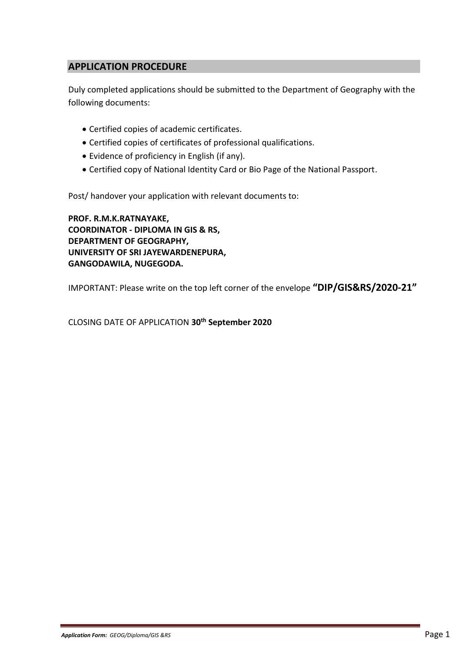## **APPLICATION PROCEDURE**

Duly completed applications should be submitted to the Department of Geography with the following documents:

- Certified copies of academic certificates.
- Certified copies of certificates of professional qualifications.
- Evidence of proficiency in English (if any).
- Certified copy of National Identity Card or Bio Page of the National Passport.

Post/ handover your application with relevant documents to:

**PROF. R.M.K.RATNAYAKE, COORDINATOR - DIPLOMA IN GIS & RS, DEPARTMENT OF GEOGRAPHY, UNIVERSITY OF SRI JAYEWARDENEPURA, GANGODAWILA, NUGEGODA.**

IMPORTANT: Please write on the top left corner of the envelope **"DIP/GIS&RS/2020-21"**

CLOSING DATE OF APPLICATION **30th September 2020**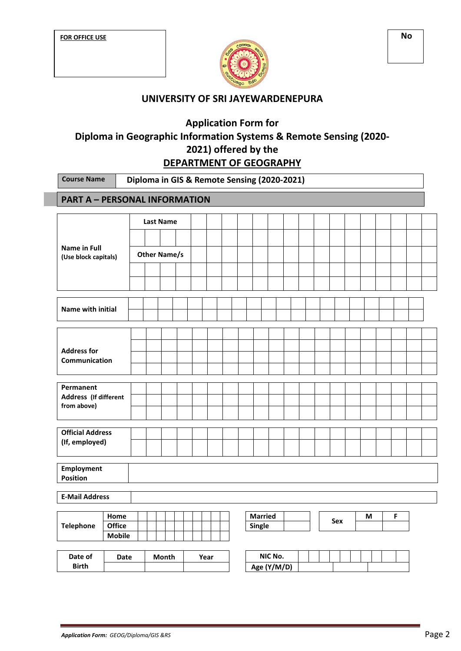

## **UNIVERSITY OF SRI JAYEWARDENEPURA**

# **Application Form for Diploma in Geographic Information Systems & Remote Sensing (2020- 2021) offered by the DEPARTMENT OF GEOGRAPHY**

| <b>Course Name</b>                          |               | Diploma in GIS & Remote Sensing (2020-2021) |  |       |  |  |      |  |                |             |  |     |   |   |  |  |
|---------------------------------------------|---------------|---------------------------------------------|--|-------|--|--|------|--|----------------|-------------|--|-----|---|---|--|--|
| <b>PART A - PERSONAL INFORMATION</b>        |               |                                             |  |       |  |  |      |  |                |             |  |     |   |   |  |  |
|                                             |               | <b>Last Name</b>                            |  |       |  |  |      |  |                |             |  |     |   |   |  |  |
|                                             |               |                                             |  |       |  |  |      |  |                |             |  |     |   |   |  |  |
| <b>Name in Full</b><br>(Use block capitals) |               | <b>Other Name/s</b>                         |  |       |  |  |      |  |                |             |  |     |   |   |  |  |
|                                             |               |                                             |  |       |  |  |      |  |                |             |  |     |   |   |  |  |
|                                             |               |                                             |  |       |  |  |      |  |                |             |  |     |   |   |  |  |
| Name with initial                           |               |                                             |  |       |  |  |      |  |                |             |  |     |   |   |  |  |
|                                             |               |                                             |  |       |  |  |      |  |                |             |  |     |   |   |  |  |
|                                             |               |                                             |  |       |  |  |      |  |                |             |  |     |   |   |  |  |
| <b>Address for</b><br>Communication         |               |                                             |  |       |  |  |      |  |                |             |  |     |   |   |  |  |
|                                             |               |                                             |  |       |  |  |      |  |                |             |  |     |   |   |  |  |
| Permanent<br>Address (If different          |               |                                             |  |       |  |  |      |  |                |             |  |     |   |   |  |  |
| from above)                                 |               |                                             |  |       |  |  |      |  |                |             |  |     |   |   |  |  |
| <b>Official Address</b>                     |               |                                             |  |       |  |  |      |  |                |             |  |     |   |   |  |  |
| (If, employed)                              |               |                                             |  |       |  |  |      |  |                |             |  |     |   |   |  |  |
|                                             |               |                                             |  |       |  |  |      |  |                |             |  |     |   |   |  |  |
| <b>Employment</b><br><b>Position</b>        |               |                                             |  |       |  |  |      |  |                |             |  |     |   |   |  |  |
| <b>E-Mail Address</b>                       |               |                                             |  |       |  |  |      |  |                |             |  |     |   |   |  |  |
|                                             | Home          |                                             |  |       |  |  |      |  | <b>Married</b> |             |  |     |   | F |  |  |
| <b>Telephone</b>                            | <b>Office</b> |                                             |  |       |  |  |      |  | Single         |             |  | Sex | М |   |  |  |
|                                             | <b>Mobile</b> |                                             |  |       |  |  |      |  |                |             |  |     |   |   |  |  |
| Date of                                     | Date          |                                             |  | Month |  |  | Year |  |                | NIC No.     |  |     |   |   |  |  |
| <b>Birth</b>                                |               |                                             |  |       |  |  |      |  |                | Age (Y/M/D) |  |     |   |   |  |  |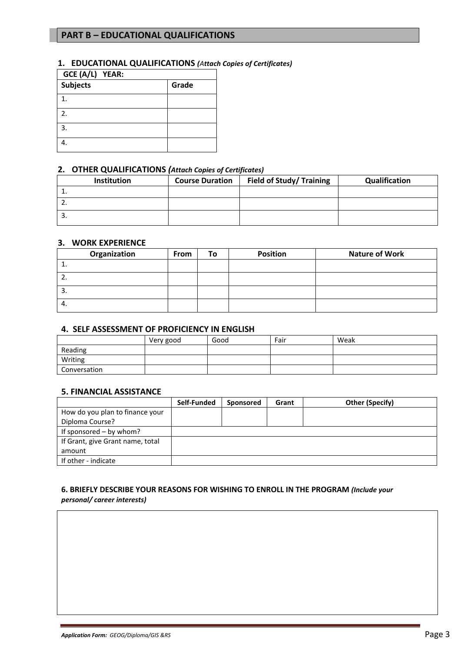## **PART B – EDUCATIONAL QUALIFICATIONS**

#### **1. EDUCATIONAL QUALIFICATIONS** *(Attach Copies of Certificates)*

| GCE (A/L) YEAR: |       |  |  |  |  |
|-----------------|-------|--|--|--|--|
| Subjects        | Grade |  |  |  |  |
| 1               |       |  |  |  |  |
| 2.              |       |  |  |  |  |
| 3.              |       |  |  |  |  |
|                 |       |  |  |  |  |

### **2. OTHER QUALIFICATIONS** *(Attach Copies of Certificates)*

| <b>Institution</b> | <b>Course Duration</b> | Field of Study/ Training | Qualification |
|--------------------|------------------------|--------------------------|---------------|
| <b>.</b>           |                        |                          |               |
| <u>.</u>           |                        |                          |               |
| . ب                |                        |                          |               |

## **3. WORK EXPERIENCE**

| Organization | <b>From</b> | То | <b>Position</b> | <b>Nature of Work</b> |
|--------------|-------------|----|-----------------|-----------------------|
|              |             |    |                 |                       |
| <u>.</u>     |             |    |                 |                       |
| <u>.</u>     |             |    |                 |                       |
| 4.           |             |    |                 |                       |

#### **4. SELF ASSESSMENT OF PROFICIENCY IN ENGLISH**

|              | Very good | Good | Fair | Weak |
|--------------|-----------|------|------|------|
| Reading      |           |      |      |      |
| Writing      |           |      |      |      |
| Conversation |           |      |      |      |

### **5. FINANCIAL ASSISTANCE**

|                                  | Self-Funded | Sponsored | Grant | Other (Specify) |
|----------------------------------|-------------|-----------|-------|-----------------|
| How do you plan to finance your  |             |           |       |                 |
| Diploma Course?                  |             |           |       |                 |
| If sponsored – by whom?          |             |           |       |                 |
| If Grant, give Grant name, total |             |           |       |                 |
| amount                           |             |           |       |                 |
| If other - indicate              |             |           |       |                 |

#### **6. BRIEFLY DESCRIBE YOUR REASONS FOR WISHING TO ENROLL IN THE PROGRAM** *(Include your personal/ career interests)*